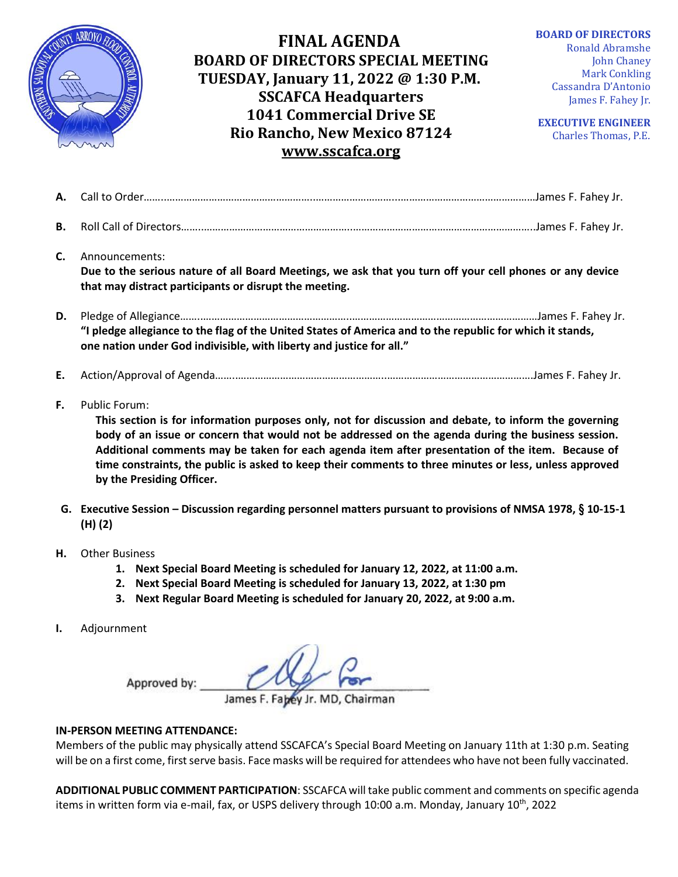

## **FINAL AGENDA BOARD OF DIRECTORS SPECIAL MEETING TUESDAY, January 11, 2022 @ 1:30 P.M. SSCAFCA Headquarters 1041 Commercial Drive SE Rio Rancho, New Mexico 87124 [www.sscafca.org](http://www.sscafca.org/)**

**BOARD OF DIRECTORS** Ronald Abramshe

John Chaney Mark Conkling Cassandra D'Antonio James F. Fahey Jr.

**EXECUTIVE ENGINEER** Charles Thomas, P.E*.*

| В. |                                                                                                                                                                                                                                                                                                                                                         |
|----|---------------------------------------------------------------------------------------------------------------------------------------------------------------------------------------------------------------------------------------------------------------------------------------------------------------------------------------------------------|
| C. | Announcements:<br>Due to the serious nature of all Board Meetings, we ask that you turn off your cell phones or any device<br>that may distract participants or disrupt the meeting.                                                                                                                                                                    |
| D. | "I pledge allegiance to the flag of the United States of America and to the republic for which it stands,<br>one nation under God indivisible, with liberty and justice for all."                                                                                                                                                                       |
| Е. |                                                                                                                                                                                                                                                                                                                                                         |
| F. | Public Forum:<br>This section is for information purposes only, not for discussion and debate, to inform the governing<br>the desenvolved and consequent of the control of the conduction of the consequent of the control of the consequence of the consequence of the consequence of the consequence of the consequence of the consequence of the con |

**body of an issue or concern that would not be addressed on the agenda during the business session. Additional comments may be taken for each agenda item after presentation of the item. Because of time constraints, the public is asked to keep their comments to three minutes or less, unless approved by the Presiding Officer.**

- **G. Executive Session – Discussion regarding personnel matters pursuant to provisions of NMSA 1978, § 10-15-1 (H) (2)**
- **H.** Other Business
	- **1. Next Special Board Meeting is scheduled for January 12, 2022, at 11:00 a.m.**
	- **2. Next Special Board Meeting is scheduled for January 13, 2022, at 1:30 pm**
	- **3. Next Regular Board Meeting is scheduled for January 20, 2022, at 9:00 a.m.**
- **I.** Adjournment

Approved by:

James F. Fabey Jr. MD, Chairman

## **IN-PERSON MEETING ATTENDANCE:**

Members of the public may physically attend SSCAFCA's Special Board Meeting on January 11th at 1:30 p.m. Seating will be on a first come, first serve basis. Face masks will be required for attendees who have not been fully vaccinated.

**ADDITIONAL PUBLIC COMMENT PARTICIPATION**: SSCAFCA will take public comment and comments on specific agenda items in written form via e-mail, fax, or USPS delivery through 10:00 a.m. Monday, January 10<sup>th</sup>, 2022